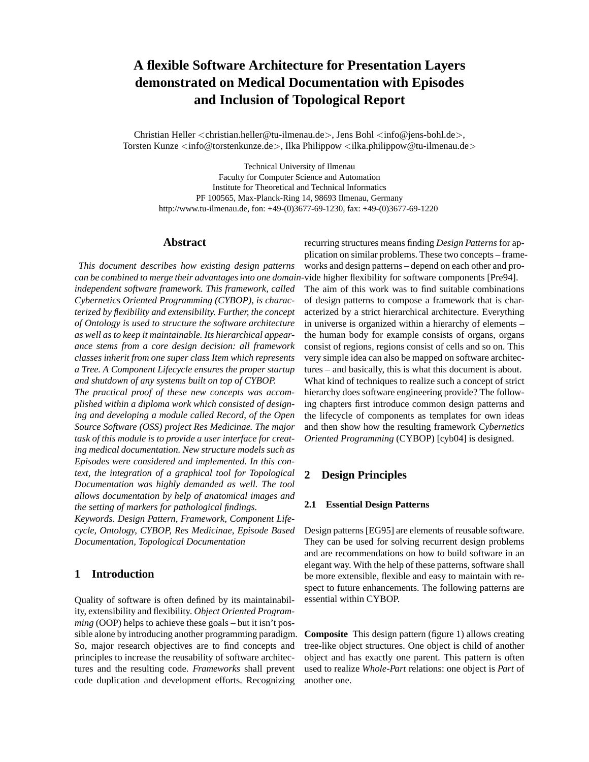# **A flexible Software Architecture for Presentation Layers demonstrated on Medical Documentation with Episodes and Inclusion of Topological Report**

Christian Heller <christian.heller@tu-ilmenau.de>, Jens Bohl <info@jens-bohl.de>, Torsten Kunze <info@torstenkunze.de>, Ilka Philippow <ilka.philippow@tu-ilmenau.de>

Technical University of Ilmenau Faculty for Computer Science and Automation Institute for Theoretical and Technical Informatics PF 100565, Max-Planck-Ring 14, 98693 Ilmenau, Germany http://www.tu-ilmenau.de, fon: +49-(0)3677-69-1230, fax: +49-(0)3677-69-1220

#### **Abstract**

*This document describes how existing design patterns can be combined to merge their advantages into one domain-*vide higher flexibility for software components [Pre94]. *independent software framework. This framework, called Cybernetics Oriented Programming (CYBOP), is characterized by flexibility and extensibility. Further, the concept of Ontology is used to structure the software architecture as well as to keep it maintainable. Its hierarchical appearance stems from a core design decision: all framework classes inherit from one super class Item which represents a Tree. A Component Lifecycle ensures the proper startup and shutdown of any systems built on top of CYBOP.*

*The practical proof of these new concepts was accomplished within a diploma work which consisted of designing and developing a module called Record, of the Open Source Software (OSS) project Res Medicinae. The major task of this module is to provide a user interface for creating medical documentation. New structure models such as Episodes were considered and implemented. In this context, the integration of a graphical tool for Topological Documentation was highly demanded as well. The tool allows documentation by help of anatomical images and the setting of markers for pathological findings. Keywords. Design Pattern, Framework, Component Lifecycle, Ontology, CYBOP, Res Medicinae, Episode Based*

*Documentation, Topological Documentation*

# **1 Introduction**

Quality of software is often defined by its maintainability, extensibility and flexibility. *Object Oriented Programming* (OOP) helps to achieve these goals – but it isn't possible alone by introducing another programming paradigm. So, major research objectives are to find concepts and principles to increase the reusability of software architectures and the resulting code. *Frameworks* shall prevent code duplication and development efforts. Recognizing

recurring structures means finding *Design Patterns* for application on similar problems. These two concepts – frameworks and design patterns – depend on each other and pro-

The aim of this work was to find suitable combinations of design patterns to compose a framework that is characterized by a strict hierarchical architecture. Everything in universe is organized within a hierarchy of elements – the human body for example consists of organs, organs consist of regions, regions consist of cells and so on. This very simple idea can also be mapped on software architectures – and basically, this is what this document is about. What kind of techniques to realize such a concept of strict hierarchy does software engineering provide? The following chapters first introduce common design patterns and the lifecycle of components as templates for own ideas and then show how the resulting framework *Cybernetics Oriented Programming* (CYBOP) [cyb04] is designed.

## **2 Design Principles**

#### **2.1 Essential Design Patterns**

Design patterns [EG95] are elements of reusable software. They can be used for solving recurrent design problems and are recommendations on how to build software in an elegant way. With the help of these patterns, software shall be more extensible, flexible and easy to maintain with respect to future enhancements. The following patterns are essential within CYBOP.

**Composite** This design pattern (figure 1) allows creating tree-like object structures. One object is child of another object and has exactly one parent. This pattern is often used to realize *Whole-Part* relations: one object is *Part* of another one.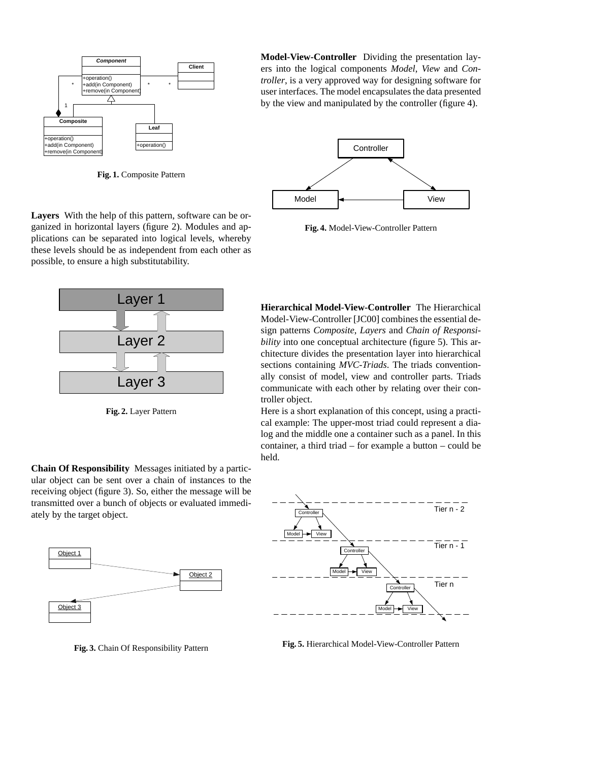

**Fig. 1.** Composite Pattern

**Layers** With the help of this pattern, software can be organized in horizontal layers (figure 2). Modules and applications can be separated into logical levels, whereby these levels should be as independent from each other as possible, to ensure a high substitutability.



**Fig. 2.** Layer Pattern

**Chain Of Responsibility** Messages initiated by a particular object can be sent over a chain of instances to the receiving object (figure 3). So, either the message will be transmitted over a bunch of objects or evaluated immediately by the target object.



**Fig. 3.** Chain Of Responsibility Pattern

**Model-View-Controller** Dividing the presentation layers into the logical components *Model*, *View* and *Controller*, is a very approved way for designing software for user interfaces. The model encapsulates the data presented by the view and manipulated by the controller (figure 4).



**Fig. 4.** Model-View-Controller Pattern

**Hierarchical Model-View-Controller** The Hierarchical Model-View-Controller [JC00] combines the essential design patterns *Composite*, *Layers* and *Chain of Responsibility* into one conceptual architecture (figure 5). This architecture divides the presentation layer into hierarchical sections containing *MVC-Triads*. The triads conventionally consist of model, view and controller parts. Triads communicate with each other by relating over their controller object.

Here is a short explanation of this concept, using a practical example: The upper-most triad could represent a dialog and the middle one a container such as a panel. In this container, a third triad – for example a button – could be held.



**Fig. 5.** Hierarchical Model-View-Controller Pattern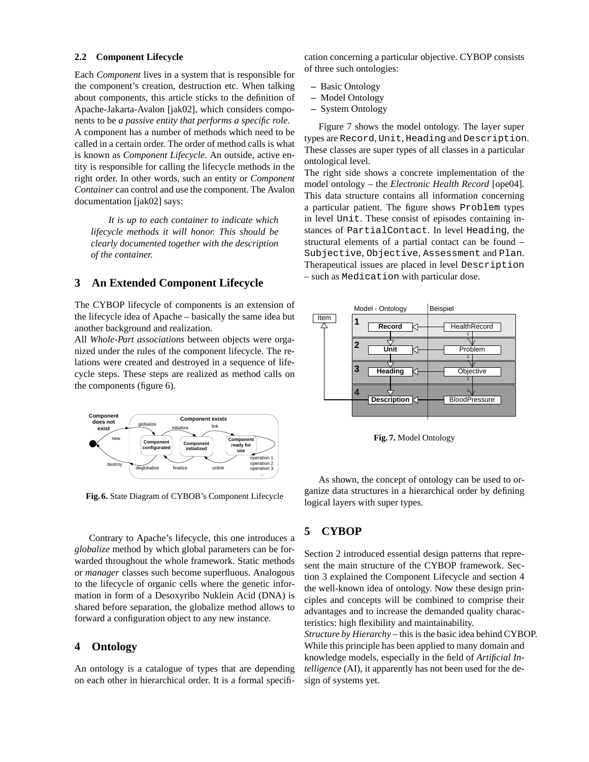#### **2.2 Component Lifecycle**

Each *Component* lives in a system that is responsible for the component's creation, destruction etc. When talking about components, this article sticks to the definition of Apache-Jakarta-Avalon [jak02], which considers components to be *a passive entity that performs a specific role*. A component has a number of methods which need to be called in a certain order. The order of method calls is what is known as *Component Lifecycle*. An outside, active entity is responsible for calling the lifecycle methods in the right order. In other words, such an entity or *Component Container* can control and use the component. The Avalon documentation [jak02] says:

*It is up to each container to indicate which lifecycle methods it will honor. This should be clearly documented together with the description of the container.*

### **3 An Extended Component Lifecycle**

The CYBOP lifecycle of components is an extension of the lifecycle idea of Apache – basically the same idea but another background and realization.

All *Whole-Part associations* between objects were organized under the rules of the component lifecycle. The relations were created and destroyed in a sequence of lifecycle steps. These steps are realized as method calls on the components (figure 6).



**Fig. 6.** State Diagram of CYBOB's Component Lifecycle

Contrary to Apache's lifecycle, this one introduces a *globalize* method by which global parameters can be forwarded throughout the whole framework. Static methods or *manager* classes such become superfluous. Analogous to the lifecycle of organic cells where the genetic information in form of a Desoxyribo Nuklein Acid (DNA) is shared before separation, the globalize method allows to forward a configuration object to any new instance.

### **4 Ontology**

An ontology is a catalogue of types that are depending on each other in hierarchical order. It is a formal specification concerning a particular objective. CYBOP consists of three such ontologies:

- **–** Basic Ontology
- **–** Model Ontology
- **–** System Ontology

Figure 7 shows the model ontology. The layer super types are Record, Unit, Heading and Description. These classes are super types of all classes in a particular ontological level.

The right side shows a concrete implementation of the model ontology – the *Electronic Health Record* [ope04]. This data structure contains all information concerning a particular patient. The figure shows Problem types in level Unit. These consist of episodes containing instances of PartialContact. In level Heading, the structural elements of a partial contact can be found – Subjective, Objective, Assessment and Plan. Therapeutical issues are placed in level Description – such as Medication with particular dose.



**Fig. 7.** Model Ontology

As shown, the concept of ontology can be used to organize data structures in a hierarchical order by defining logical layers with super types.

# **5 CYBOP**

Section 2 introduced essential design patterns that represent the main structure of the CYBOP framework. Section 3 explained the Component Lifecycle and section 4 the well-known idea of ontology. Now these design principles and concepts will be combined to comprise their advantages and to increase the demanded quality characteristics: high flexibility and maintainability.

*Structure by Hierarchy* – this is the basic idea behind CYBOP. While this principle has been applied to many domain and knowledge models, especially in the field of *Artificial Intelligence* (AI), it apparently has not been used for the design of systems yet.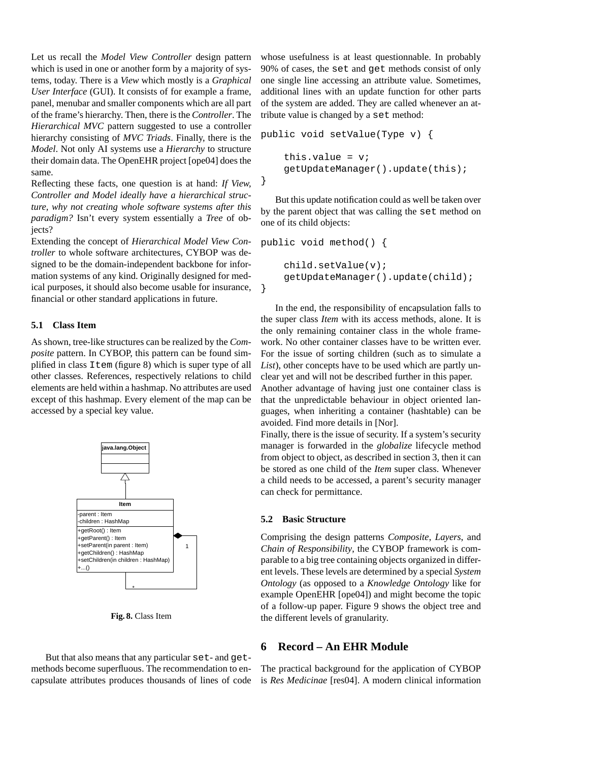Let us recall the *Model View Controller* design pattern which is used in one or another form by a majority of systems, today. There is a *View* which mostly is a *Graphical User Interface* (GUI). It consists of for example a frame, panel, menubar and smaller components which are all part of the frame's hierarchy. Then, there is the *Controller*. The *Hierarchical MVC* pattern suggested to use a controller hierarchy consisting of *MVC Triads*. Finally, there is the *Model*. Not only AI systems use a *Hierarchy* to structure their domain data. The OpenEHR project [ope04] does the same.

Reflecting these facts, one question is at hand: *If View, Controller and Model ideally have a hierarchical structure, why not creating whole software systems after this paradigm?* Isn't every system essentially a *Tree* of objects?

Extending the concept of *Hierarchical Model View Controller* to whole software architectures, CYBOP was designed to be the domain-independent backbone for information systems of any kind. Originally designed for medical purposes, it should also become usable for insurance, financial or other standard applications in future.

#### **5.1 Class Item**

As shown, tree-like structures can be realized by the *Composite* pattern. In CYBOP, this pattern can be found simplified in class Item (figure 8) which is super type of all other classes. References, respectively relations to child elements are held within a hashmap. No attributes are used except of this hashmap. Every element of the map can be accessed by a special key value.



**Fig. 8.** Class Item

But that also means that any particular set- and getmethods become superfluous. The recommendation to encapsulate attributes produces thousands of lines of code whose usefulness is at least questionnable. In probably 90% of cases, the set and get methods consist of only one single line accessing an attribute value. Sometimes, additional lines with an update function for other parts of the system are added. They are called whenever an attribute value is changed by a set method:

```
public void setValue(Type v) {
    this.value = v_igetUpdateManager().update(this);
}
```
But this update notification could as well be taken over by the parent object that was calling the set method on one of its child objects:

```
public void method() {
    child.setValue(v);
    getUpdateManager().update(child);
}
```
In the end, the responsibility of encapsulation falls to the super class *Item* with its access methods, alone. It is the only remaining container class in the whole framework. No other container classes have to be written ever. For the issue of sorting children (such as to simulate a *List*), other concepts have to be used which are partly unclear yet and will not be described further in this paper.

Another advantage of having just one container class is that the unpredictable behaviour in object oriented languages, when inheriting a container (hashtable) can be avoided. Find more details in [Nor].

Finally, there is the issue of security. If a system's security manager is forwarded in the *globalize* lifecycle method from object to object, as described in section 3, then it can be stored as one child of the *Item* super class. Whenever a child needs to be accessed, a parent's security manager can check for permittance.

#### **5.2 Basic Structure**

Comprising the design patterns *Composite*, *Layers*, and *Chain of Responsibility*, the CYBOP framework is comparable to a big tree containing objects organized in different levels. These levels are determined by a special *System Ontology* (as opposed to a *Knowledge Ontology* like for example OpenEHR [ope04]) and might become the topic of a follow-up paper. Figure 9 shows the object tree and the different levels of granularity.

# **6 Record – An EHR Module**

The practical background for the application of CYBOP is *Res Medicinae* [res04]. A modern clinical information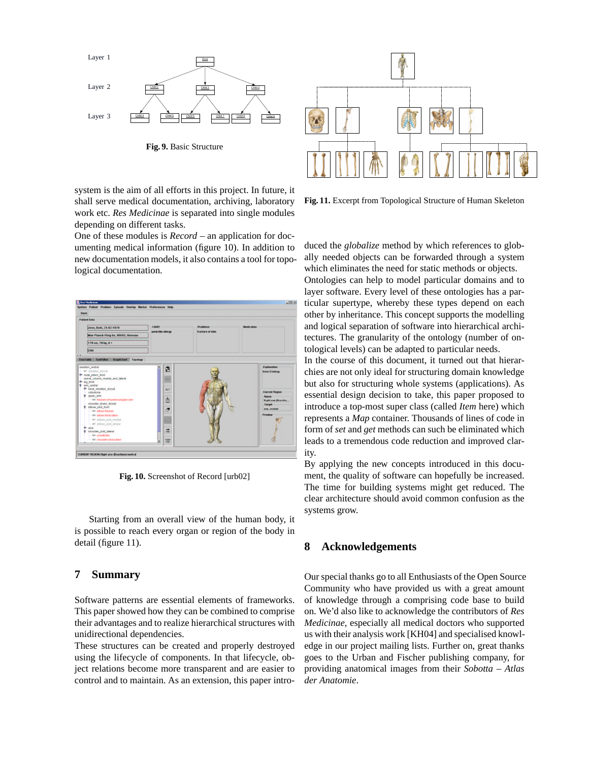

**Fig. 9.** Basic Structure

system is the aim of all efforts in this project. In future, it shall serve medical documentation, archiving, laboratory work etc. *Res Medicinae* is separated into single modules depending on different tasks.

One of these modules is *Record* – an application for documenting medical information (figure 10). In addition to new documentation models, it also contains a tool for topological documentation.



**Fig. 10.** Screenshot of Record [urb02]

Starting from an overall view of the human body, it is possible to reach every organ or region of the body in detail (figure 11).

# **7 Summary**

Software patterns are essential elements of frameworks. This paper showed how they can be combined to comprise their advantages and to realize hierarchical structures with unidirectional dependencies.

These structures can be created and properly destroyed using the lifecycle of components. In that lifecycle, object relations become more transparent and are easier to control and to maintain. As an extension, this paper intro-



**Fig. 11.** Excerpt from Topological Structure of Human Skeleton

duced the *globalize* method by which references to globally needed objects can be forwarded through a system which eliminates the need for static methods or objects. Ontologies can help to model particular domains and to layer software. Every level of these ontologies has a par-

ticular supertype, whereby these types depend on each other by inheritance. This concept supports the modelling and logical separation of software into hierarchical architectures. The granularity of the ontology (number of ontological levels) can be adapted to particular needs.

In the course of this document, it turned out that hierarchies are not only ideal for structuring domain knowledge but also for structuring whole systems (applications). As essential design decision to take, this paper proposed to introduce a top-most super class (called *Item* here) which represents a *Map* container. Thousands of lines of code in form of *set* and *get* methods can such be eliminated which leads to a tremendous code reduction and improved clarity.

By applying the new concepts introduced in this document, the quality of software can hopefully be increased. The time for building systems might get reduced. The clear architecture should avoid common confusion as the systems grow.

# **8 Acknowledgements**

Our special thanks go to all Enthusiasts of the Open Source Community who have provided us with a great amount of knowledge through a comprising code base to build on. We'd also like to acknowledge the contributors of *Res Medicinae*, especially all medical doctors who supported us with their analysis work [KH04] and specialised knowledge in our project mailing lists. Further on, great thanks goes to the Urban and Fischer publishing company, for providing anatomical images from their *Sobotta – Atlas der Anatomie*.